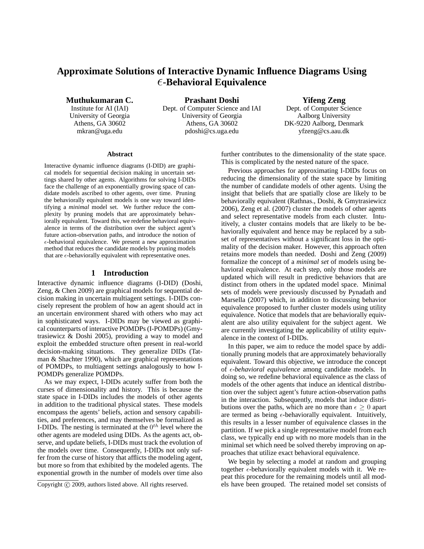# **Approximate Solutions of Interactive Dynamic Influence Diagrams Using** ǫ**-Behavioral Equivalence**

**Muthukumaran C.**

Institute for AI (IAI) University of Georgia Athens, GA 30602 mkran@uga.edu

**Prashant Doshi** Dept. of Computer Science and IAI University of Georgia Athens, GA 30602 pdoshi@cs.uga.edu

**Yifeng Zeng**

Dept. of Computer Science Aalborg University DK-9220 Aalborg, Denmark yfzeng@cs.aau.dk

#### **Abstract**

Interactive dynamic influence diagrams (I-DID) are graphical models for sequential decision making in uncertain settings shared by other agents. Algorithms for solving I-DIDs face the challenge of an exponentially growing space of candidate models ascribed to other agents, over time. Pruning the behaviorally equivalent models is one way toward identifying a *minimal* model set. We further reduce the complexity by pruning models that are approximately behaviorally equivalent. Toward this, we redefine behavioral equivalence in terms of the distribution over the subject agent's future action-observation paths, and introduce the notion of  $\epsilon$ -behavioral equivalence. We present a new approximation method that reduces the candidate models by pruning models that are  $\epsilon$ -behaviorally equivalent with representative ones.

### **1 Introduction**

Interactive dynamic influence diagrams (I-DID) (Doshi, Zeng, & Chen 2009) are graphical models for sequential decision making in uncertain multiagent settings. I-DIDs concisely represent the problem of how an agent should act in an uncertain environment shared with others who may act in sophisticated ways. I-DIDs may be viewed as graphical counterparts of interactive POMDPs (I-POMDPs) (Gmytrasiewicz & Doshi 2005), providing a way to model and exploit the embedded structure often present in real-world decision-making situations. They generalize DIDs (Tatman & Shachter 1990), which are graphical representations of POMDPs, to multiagent settings analogously to how I-POMDPs generalize POMDPs.

As we may expect, I-DIDs acutely suffer from both the curses of dimensionality and history. This is because the state space in I-DIDs includes the models of other agents in addition to the traditional physical states. These models encompass the agents' beliefs, action and sensory capabilities, and preferences, and may themselves be formalized as I-DIDs. The nesting is terminated at the  $0^{th}$  level where the other agents are modeled using DIDs. As the agents act, observe, and update beliefs, I-DIDs must track the evolution of the models over time. Consequently, I-DIDs not only suffer from the curse of history that afflicts the modeling agent, but more so from that exhibited by the modeled agents. The exponential growth in the number of models over time also

further contributes to the dimensionality of the state space. This is complicated by the nested nature of the space.

Previous approaches for approximating I-DIDs focus on reducing the dimensionality of the state space by limiting the number of candidate models of other agents. Using the insight that beliefs that are spatially close are likely to be behaviorally equivalent (Rathnas., Doshi, & Gmytrasiewicz 2006), Zeng et al. (2007) cluster the models of other agents and select representative models from each cluster. Intuitively, a cluster contains models that are likely to be behaviorally equivalent and hence may be replaced by a subset of representatives without a significant loss in the optimality of the decision maker. However, this approach often retains more models than needed. Doshi and Zeng (2009) formalize the concept of a *minimal set* of models using behavioral equivalence. At each step, only those models are updated which will result in predictive behaviors that are distinct from others in the updated model space. Minimal sets of models were previously discussed by Pynadath and Marsella (2007) which, in addition to discussing behavior equivalence proposed to further cluster models using utility equivalence. Notice that models that are behaviorally equivalent are also utility equivalent for the subject agent. We are currently investigating the applicability of utility equivalence in the context of I-DIDs.

In this paper, we aim to reduce the model space by additionally pruning models that are approximately behaviorally equivalent. Toward this objective, we introduce the concept of *ε-behavioral equivalence* among candidate models. In doing so, we redefine behavioral equivalence as the class of models of the other agents that induce an identical distribution over the subject agent's future action-observation paths in the interaction. Subsequently, models that induce distributions over the paths, which are no more than  $\epsilon \geq 0$  apart are termed as being  $\epsilon$ -behaviorally equivalent. Intuitively, this results in a lesser number of equivalence classes in the partition. If we pick a single representative model from each class, we typically end up with no more models than in the minimal set which need be solved thereby improving on approaches that utilize exact behavioral equivalence.

We begin by selecting a model at random and grouping together  $\epsilon$ -behaviorally equivalent models with it. We repeat this procedure for the remaining models until all models have been grouped. The retained model set consists of

Copyright © 2009, authors listed above. All rights reserved.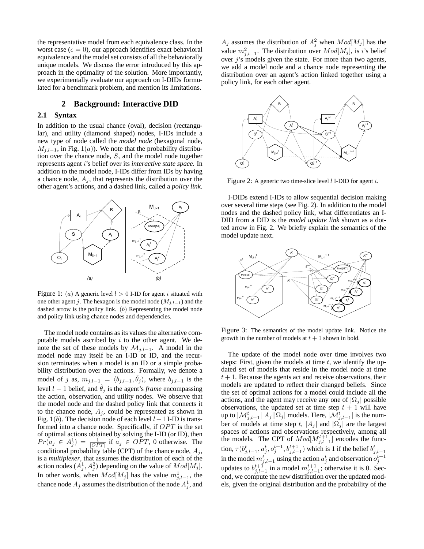the representative model from each equivalence class. In the worst case ( $\epsilon = 0$ ), our approach identifies exact behavioral equivalence and the model set consists of all the behaviorally unique models. We discuss the error introduced by this approach in the optimality of the solution. More importantly, we experimentally evaluate our approach on I-DIDs formulated for a benchmark problem, and mention its limitations.

### **2 Background: Interactive DID**

# **2.1 Syntax**

In addition to the usual chance (oval), decision (rectangular), and utility (diamond shaped) nodes, I-IDs include a new type of node called the *model node* (hexagonal node,  $M_{j,l-1}$ , in Fig. 1(a)). We note that the probability distribution over the chance node, S, and the model node together represents agent i's belief over its *interactive state space*. In addition to the model node, I-IDs differ from IDs by having a chance node,  $A_j$ , that represents the distribution over the other agent's actions, and a dashed link, called a *policy link*.



Figure 1: (a) A generic level  $l > 0$  I-ID for agent i situated with one other agent j. The hexagon is the model node ( $M_{j,l-1}$ ) and the dashed arrow is the policy link.  $(b)$  Representing the model node and policy link using chance nodes and dependencies.

The model node contains as its values the alternative computable models ascribed by  $i$  to the other agent. We denote the set of these models by  $\mathcal{M}_{j,l-1}$ . A model in the model node may itself be an I-ID or ID, and the recursion terminates when a model is an ID or a simple probability distribution over the actions. Formally, we denote a model of j as,  $m_{j,l-1} = \langle b_{j,l-1}, \hat{\theta}_j \rangle$ , where  $b_{j,l-1}$  is the level  $l - 1$  belief, and  $\hat{\theta}_j$  is the agent's *frame* encompassing the action, observation, and utility nodes. We observe that the model node and the dashed policy link that connects it to the chance node,  $A_j$ , could be represented as shown in Fig. 1(b). The decision node of each level  $l-1$  I-ID is transformed into a chance node. Specifically, if  $OPT$  is the set of optimal actions obtained by solving the I-ID (or ID), then  $Pr(a_j \in A_j^1) = \frac{1}{|OPT|}$  if  $a_j \in OPT$ , 0 otherwise. The conditional probability table (CPT) of the chance node,  $A_i$ , is a *multiplexer*, that assumes the distribution of each of the action nodes  $(A_j^1, A_j^2)$  depending on the value of  $Mod[M_j]$ . In other words, when  $Mod[M_j]$  has the value  $m_{j,l-1}^1$ , the chance node  $A_j$  assumes the distribution of the node  $A_j^1$ , and

 $A_j$  assumes the distribution of  $A_j^2$  when  $Mod[M_j]$  has the value  $m_{j,l-1}^2$ . The distribution over  $Mod[M_j]$ , is *i*'s belief over  $j$ 's models given the state. For more than two agents, we add a model node and a chance node representing the distribution over an agent's action linked together using a policy link, for each other agent.



Figure 2: A generic two time-slice level  $l$  I-DID for agent  $i$ .

I-DIDs extend I-IDs to allow sequential decision making over several time steps (see Fig. 2). In addition to the model nodes and the dashed policy link, what differentiates an I-DID from a DID is the *model update link* shown as a dotted arrow in Fig. 2. We briefly explain the semantics of the model update next.



Figure 3: The semantics of the model update link. Notice the growth in the number of models at  $t + 1$  shown in bold.

The update of the model node over time involves two steps: First, given the models at time  $t$ , we identify the updated set of models that reside in the model node at time  $t + 1$ . Because the agents act and receive observations, their models are updated to reflect their changed beliefs. Since the set of optimal actions for a model could include all the actions, and the agent may receive any one of  $|\Omega_i|$  possible observations, the updated set at time step  $t + 1$  will have up to  $|\mathcal{M}_{j,l-1}^t||A_j||\Omega_j|$  models. Here,  $|\mathcal{M}_{j,l-1}^t|$  is the number of models at time step t,  $|A_j|$  and  $|\Omega_j|$  are the largest spaces of actions and observations respectively, among all the models. The CPT of  $Mod[M_{j,l-1}^{t+1}]$  encodes the function,  $\tau(b_{j,l-1}^t, a_j^t, o_j^{t+1}, b_{j,l-1}^{t+1})$  which is 1 if the belief  $b_{j,l-1}^t$ <br>in the model  $m_{j,l-1}^t$  using the action  $a_j^t$  and observation  $o_j^{t+1}$ updates to  $b_{j,l-1}^{t+1}$  in a model  $m_{j,l-1}^{t+1}$ ; otherwise it is 0. Second, we compute the new distribution over the updated models, given the original distribution and the probability of the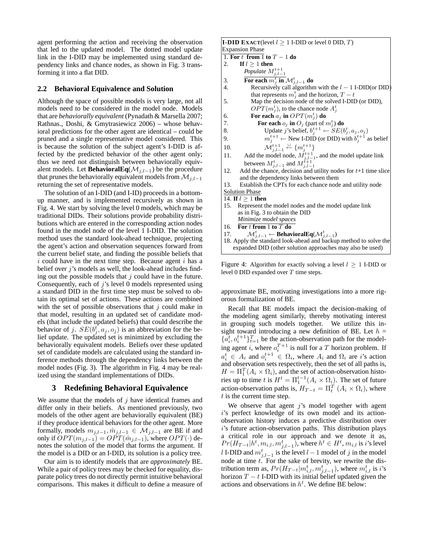agent performing the action and receiving the observation that led to the updated model. The dotted model update link in the I-DID may be implemented using standard dependency links and chance nodes, as shown in Fig. 3 transforming it into a flat DID.

#### **2.2 Behavioral Equivalence and Solution**

Although the space of possible models is very large, not all models need to be considered in the model node. Models that are *behaviorally equivalent* (Pynadath & Marsella 2007; Rathnas., Doshi, & Gmytrasiewicz 2006) – whose behavioral predictions for the other agent are identical – could be pruned and a single representative model considered. This is because the solution of the subject agent's I-DID is affected by the predicted behavior of the other agent only; thus we need not distinguish between behaviorally equivalent models. Let **BehavioralEq**( $\mathcal{M}_{i,l-1}$ ) be the procedure that prunes the behaviorally equivalent models from  $\mathcal{M}_{j,l-1}$ returning the set of representative models.

The solution of an I-DID (and I-ID) proceeds in a bottomup manner, and is implemented recursively as shown in Fig. 4. We start by solving the level 0 models, which may be traditional DIDs. Their solutions provide probability distributions which are entered in the corresponding action nodes found in the model node of the level 1 I-DID. The solution method uses the standard look-ahead technique, projecting the agent's action and observation sequences forward from the current belief state, and finding the possible beliefs that  $i$  could have in the next time step. Because agent  $i$  has a belief over j's models as well, the look-ahead includes finding out the possible models that  $j$  could have in the future. Consequently, each of  $j$ 's level 0 models represented using a standard DID in the first time step must be solved to obtain its optimal set of actions. These actions are combined with the set of possible observations that  $j$  could make in that model, resulting in an updated set of candidate models (that include the updated beliefs) that could describe the behavior of j.  $SE(b_j^{\dagger}, a_j, o_j)$  is an abbreviation for the belief update. The updated set is minimized by excluding the behaviorally equivalent models. Beliefs over these updated set of candidate models are calculated using the standard inference methods through the dependency links between the model nodes (Fig. 3). The algorithm in Fig. 4 may be realized using the standard implementations of DIDs.

### **3 Redefining Behavioral Equivalence**

We assume that the models of  $j$  have identical frames and differ only in their beliefs. As mentioned previously, two models of the other agent are behaviorally equivalent (BE) if they produce identical behaviors for the other agent. More formally, models  $m_{j,l-1}, \hat{m}_{j,l-1} \in \mathcal{M}_{j,l-1}$  are BE if and only if  $OPT(m_{j,l-1}) = \overrightarrow{OPT}(\hat{m}_{j,l-1})$ , where  $OPT(\cdot)$  denotes the solution of the model that forms the argument. If the model is a DID or an I-DID, its solution is a policy tree.

Our aim is to identify models that are *approximately* BE. While a pair of policy trees may be checked for equality, disparate policy trees do not directly permit intuitive behavioral comparisons. This makes it difficult to define a measure of **I-DID EXACT**(level  $l > 1$  I-DID or level 0 DID,  $T$ ) Expansion Phase 1. **For** t **from** 1 **to** T − 1 **do** 2. **If**  $l > 1$  **then** *Populate*  $M^{t+1}_{j,l-1}$ 3. **For each**  $m_j^t$  in  $\mathcal{M}_{j,l-1}^t$  do 4. Recursively call algorithm with the  $l - 1$  I-DID(or DID) that represents  $m_j^t$  and the horizon,  $T-t$ 5. Map the decision node of the solved I-DID (or DID),  $OPT(m_j^t)$ , to the chance node  $A_j^t$ 6. **For each**  $a_j$  **in**  $OPT(m_j^t)$  **do** 7. **For each**  $o_j$  **in**  $O_j$  (part of  $m_j^t$ ) **do** 8. Update j's belief,  $b_j^{t+1} \leftarrow SE(b_j^t, a_j, o_j)$ 9.  $m_j^{t+1} \leftarrow \text{New I-DID}$  (or DID) with  $b_j^{t+1}$  as belief 10.  $\mathcal{M}_{j,l-1}^{t+1} \overset{\cup}{\leftarrow} \{m_j^{t+1}\}$ 11. Add the model node,  $\vec{M}_{j,l-1}^{t+1}$ , and the model update link between  $M_{j,l-1}^t$  and  $M_{j,l-1}^{t+1}$ 12. Add the chance, decision and utility nodes for  $t+1$  time slice and the dependency links between them 13. Establish the CPTs for each chance node and utility node Solution Phase 14. **If**  $l \geq 1$  **then** 15. Represent the model nodes and the model update link as in Fig. 3 to obtain the DID *Minimize model spaces* 16. **For** t **from** 1 **to** T **do** 17.  $\mathcal{M}_{j,l-1}^t$  ← **BehavioralEq**( $\mathcal{M}_{j,l-1}^t$ ) 18. Apply the standard look-ahead and backup method to solve the expanded DID (other solution approaches may also be used)

Figure 4: Algorithm for exactly solving a level  $l \geq 1$  I-DID or level 0 DID expanded over T time steps.

approximate BE, motivating investigations into a more rigorous formalization of BE.

Recall that BE models impact the decision-making of the modeling agent similarly, thereby motivating interest in grouping such models together. We utilize this insight toward introducing a new definition of BE. Let  $h =$  $\{a_i^t, o_i^{t+1}\}_{t=1}^T$  be the action-observation path for the modeling agent *i*, where  $o_i^{T+1}$  is null for a *T* horizon problem. If  $a_i^t \in A_i$  and  $o_i^{t+1} \in \Omega_i$ , where  $A_i$  and  $\Omega_i$  are *i*'s action and observation sets respectively, then the set of all paths is,  $H = \Pi_1^T (A_i \times \Omega_i)$ , and the set of action-observation histories up to time t is  $H^t = \prod_1^{t-1} (A_i \times \Omega_i)$ . The set of future action-observation paths is,  $H_{T-t} = \Pi_t^T (A_i \times \Omega_i)$ , where  $t$  is the current time step.

We observe that agent  $j$ 's model together with agent i's perfect knowledge of its own model and its actionobservation history induces a predictive distribution over i's future action-observation paths. This distribution plays a critical role in our approach and we denote it as,  $Pr(H_{T-t}| h^t, m_{i,l}, m_{j,l-1}^t)$ , where  $h^t \in H^t, m_{i,l}$  is  $i$ 's level l I-DID and  $m_{j,l-1}^t$  is the level  $l-1$  model of j in the model node at time  $t$ . For the sake of brevity, we rewrite the distribution term as,  $Pr(H_{T-t} | m_{i,l}^t, m_{j,l-1}^t)$ , where  $m_{i,l}^t$  is *i*'s horizon  $T - t$  I-DID with its initial belief updated given the actions and observations in  $h^t$ . We define BE below: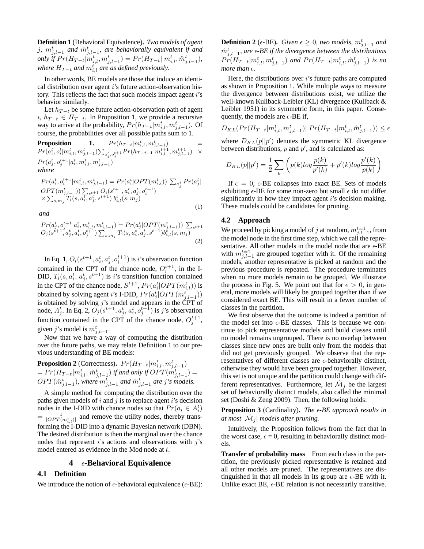**Definition 1** (Behavioral Equivalence)**.** *Two models of agent* j,  $m_{j,l-1}^t$  and  $\hat{m}_{j,l-1}^t$ , are behaviorally equivalent if and *only if*  $Pr(H_{T-t} | m_{i,l}^t, m_{j,l-1}^t) = Pr(H_{T-t} | m_{i,l}^t, \hat{m}_{j,l-1}^t)$ , *where*  $H_{T-t}$  *and*  $m_{i,l}^t$  *are as defined previously.* 

In other words, BE models are those that induce an identical distribution over agent i's future action-observation history. This reflects the fact that such models impact agent i's behavior similarly.

Let  $h_{T-t}$  be some future action-observation path of agent  $i, h_{T-t}$  ∈  $H_{T-t}$ . In Proposition 1, we provide a recursive way to arrive at the probability,  $Pr(h_{T-t}|m_{i,l}^t, m_{j,l-1}^t)$ . Of course, the probabilities over all possible paths sum to 1.

**Proposition 1.** 
$$
Pr(h_{T-t}|m_{i,l}^t, m_{j,l-1}^t) = Pr(a_i^t, o_i^t|m_{i,l}^t, m_{j,l-1}^t) \sum_{a_j^t, o_j^{t+1}} Pr(h_{T-t-1}|m_{i,l}^{t+1}, m_{j,l-1}^{t+1}) \times Pr(a_j^t, o_j^{t+1}|a_i^t, m_{i,l}^t, m_{j,l-1}^t)
$$
\nwhere

$$
Pr(a_i^t, o_i^{t+1} | m_{i,l}^t, m_{j,l-1}^t) = Pr(a_i^t | OPT(m_{i,l}^t)) \sum_{a_j^t} Pr(a_j^t |
$$
  
\n
$$
OPT(m_{j,l-1}^t)) \sum_{s^{t+1}} c_{i}^{t+1} O_i(s^{t+1}, a_i^t, a_j^t, o_i^{t+1})
$$
  
\n
$$
\times \sum_{s,m_j} T_i(s, a_i^t, a_j^t, s^{t+1}) b_{i,l}^t(s, m_j)
$$
\n(1)

*and*

$$
Pr(a_j^t, o_j^{t+1} | a_i^t, m_{i,l}^t, m_{j,l-1}^t) = Pr(a_j^t | OPT(m_{j,l-1}^t)) \sum_{s^{t+1}} c_j (s^{t+1}, a_j^t, a_i^t, o_j^{t+1}) \sum_{s, m_j} T_i(s, a_i^t, a_j^t, s^{t+1}) b_{i,l}^t(s, m_j)
$$
\n(2)

In Eq. 1,  $O_i(s^{t+1}, a_i^t, a_j^t, o_i^{t+1})$  is *i*'s observation function contained in the CPT of the chance node,  $O_i^{t+1}$ , in the I-Contained in the Cr 1 of the chance houe,  $O_i$ , in the 1-<br>DID,  $T_i(s, a_i^t, a_j^t, s^{t+1})$  is *i*'s transition function contained in the CPT of the chance node,  $S^{t+1}$ ,  $Pr(a_i^t|OPT(m_{i,l}^t))$  is obtained by solving agent *i*'s I-DID,  $Pr(a_j^t|OPT(m_{j,l-1}^t))$ is obtained by solving  $j$ 's model and appears in the CPT of node,  $A_j^t$ . In Eq. 2,  $\tilde{O}_j(s^{t+1}, a_j^t, a_i^t, o_j^{t+1})$  is j's observation function contained in the CPT of the chance node,  $O_j^{t+1}$ , given j's model is  $m_{j,l-1}^t$ .

Now that we have a way of computing the distribution over the future paths, we may relate Definition 1 to our previous understanding of BE models:

**Proposition 2** (Correctness).  $Pr(H_{T-t}|m_{i,l}^t, m_{j,l-1}^t)$  $= Pr(H_{T-t}|m_{i,l}^t, \hat{m}_{j,l-1}^t)$  if and only if  $OPT(m_{j,l-1}^t)$   $=$  $OPT(\hat{m}_{j,l-1}^t)$ , where  $m_{j,l-1}^t$  and  $\hat{m}_{j,l-1}^t$  are j's models.

A simple method for computing the distribution over the paths given models of  $i$  and  $j$  is to replace agent  $i$ 's decision nodes in the I-DID with chance nodes so that  $Pr(a_i \in A_i^t)$  $\overline{OPT(m_{i,l}^t)}$  and remove the utility nodes, thereby transforming the I-DID into a dynamic Bayesian network (DBN). The desired distribution is then the marginal over the chance nodes that represent i's actions and observations with j's model entered as evidence in the Mod node at t.

#### **4**  $\epsilon$ **-Behavioral Equivalence**

#### **4.1 Definition**

We introduce the notion of  $\epsilon$ -behavioral equivalence ( $\epsilon$ -BE):

**Definition 2** ( $\epsilon$ -BE). *Given*  $\epsilon \geq 0$ , two models,  $m_{j,l-1}^t$  and  $\hat{m}_{j,l-1}^{t}$ , are  $\epsilon$ -BE if the divergence between the distributions  $Pr(H_{T-t}|m_{i,l}^t, m_{j,l-1}^t)$  and  $Pr(H_{T-t}|m_{i,l}^t, \hat{m}_{j,l-1}^t)$  is no *more than*  $\epsilon$ *.* 

Here, the distributions over  $i$ 's future paths are computed as shown in Proposition 1. While multiple ways to measure the divergence between distributions exist, we utilize the well-known Kullback-Leibler (KL) divergence (Kullback & Leibler 1951) in its symmetric form, in this paper. Consequently, the models are  $\epsilon$ -BE if,

$$
D_{KL}(Pr(H_{T-t}|m_{i,l}^t, m_{j,l-1}^t)||Pr(H_{T-t}|m_{i,l}^t, \hat{m}_{j,l-1}^t)) \le \epsilon
$$

where  $D_{KL}(p||p')$  denotes the symmetric KL divergence between distributions,  $p$  and  $p'$ , and is calculated as:

$$
D_{KL}(p||p') = \frac{1}{2} \sum_{k} \left( p(k)log \frac{p(k)}{p'(k)} + p'(k)log \frac{p'(k)}{p(k)} \right)
$$

If  $\epsilon = 0$ ,  $\epsilon$ -BE collapses into exact BE. Sets of models exhibiting  $\epsilon$ -BE for some non-zero but small  $\epsilon$  do not differ significantly in how they impact agent  $i$ 's decision making. These models could be candidates for pruning.

#### **4.2 Approach**

We proceed by picking a model of  $j$  at random,  $m_{j,l-1}^{t=1}$ , from the model node in the first time step, which we call the representative. All other models in the model node that are  $\epsilon$ -BE with  $m_{j,l-1}^{t=1}$  are grouped together with it. Of the remaining models, another representative is picked at random and the previous procedure is repeated. The procedure terminates when no more models remain to be grouped. We illustrate the process in Fig. 5. We point out that for  $\epsilon > 0$ , in general, more models will likely be grouped together than if we considered exact BE. This will result in a fewer number of classes in the partition.

We first observe that the outcome is indeed a partition of the model set into  $\epsilon$ -BE classes. This is because we continue to pick representative models and build classes until no model remains ungrouped. There is no overlap between classes since new ones are built only from the models that did not get previously grouped. We observe that the representatives of different classes are  $\epsilon$ -behaviorally distinct, otherwise they would have been grouped together. However, this set is not unique and the partition could change with different representatives. Furthermore, let  $\hat{\mathcal{M}}_j$  be the largest set of behaviorally distinct models, also called the minimal set (Doshi & Zeng 2009). Then, the following holds:

**Proposition 3** (Cardinality). The  $\epsilon$ -BE approach results in at most  $|\hat{\mathcal{M}}_j|$  models after pruning.

Intuitively, the Proposition follows from the fact that in the worst case,  $\epsilon = 0$ , resulting in behaviorally distinct models.

**Transfer of probability mass** From each class in the partition, the previously picked representative is retained and all other models are pruned. The representatives are distinguished in that all models in its group are  $\epsilon$ -BE with it. Unlike exact BE,  $\epsilon$ -BE relation is not necessarily transitive.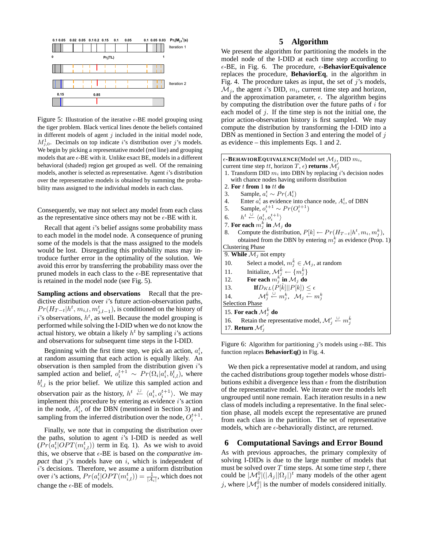

Figure 5: Illustration of the iterative  $\epsilon$ -BE model grouping using the tiger problem. Black vertical lines denote the beliefs contained in different models of agent  $j$  included in the initial model node,  $M_{j,0}^1$ . Decimals on top indicate i's distribution over j's models. We begin by picking a representative model (red line) and grouping models that are  $\epsilon$ -BE with it. Unlike exact BE, models in a different behavioral (shaded) region get grouped as well. Of the remaining models, another is selected as representative. Agent i's distribution over the representative models is obtained by summing the probability mass assigned to the individual models in each class.

Consequently, we may not select any model from each class as the representative since others may not be  $\epsilon$ -BE with it.

Recall that agent i's belief assigns some probability mass to each model in the model node. A consequence of pruning some of the models is that the mass assigned to the models would be lost. Disregarding this probability mass may introduce further error in the optimality of the solution. We avoid this error by transferring the probability mass over the pruned models in each class to the  $\epsilon$ -BE representative that is retained in the model node (see Fig. 5).

**Sampling actions and observations** Recall that the predictive distribution over  $i$ 's future action-observation paths,  $Pr(H_{T-t} | h^t, m_{i,l}, m_{j,l-1}^t)$ , is conditioned on the history of i's observations,  $h^t$ , as well. Because the model grouping is performed while solving the I-DID when we do not know the actual history, we obtain a likely  $h<sup>t</sup>$  by sampling i's actions and observations for subsequent time steps in the I-DID.

Beginning with the first time step, we pick an action,  $a_i^t$ , at random assuming that each action is equally likely. An observation is then sampled from the distribution given  $i$ 's sampled action and belief,  $o_i^{t+1} \sim Pr(\Omega_i | a_i^t, b_{i,l}^t)$ , where  $b_{i,l}^t$  is the prior belief. We utilize this sampled action and observation pair as the history,  $h^t \stackrel{\cup}{\leftarrow} \langle a_i^t, o_i^{t+1} \rangle$ . We may implement this procedure by entering as evidence i's action in the node,  $A_i^t$ , of the DBN (mentioned in Section 3) and sampling from the inferred distribution over the node,  $O_i^{t+1}$ .

Finally, we note that in computing the distribution over the paths, solution to agent i's I-DID is needed as well  $(Pr[a_i^t|OPT(m_{i,l}^t))$  term in Eq. 1). As we wish to avoid this, we observe that  $\epsilon$ -BE is based on the *comparative im*pact that  $j$ 's models have on  $i$ , which is independent of i's decisions. Therefore, we assume a uniform distribution over *i*'s actions,  $Pr(a_i^t|OPT(m_{i,l}^t)) = \frac{1}{|A_i|}$ , which does not change the  $\epsilon\text{-BE}$  of models.

# **5 Algorithm**

We present the algorithm for partitioning the models in the model node of the I-DID at each time step according to  $\epsilon$ -BE, in Fig. 6. The procedure,  $\epsilon$ -**BehaviorEquivalence** replaces the procedure, **BehaviorEq**, in the algorithm in Fig. 4. The procedure takes as input, the set of  $j$ 's models,  $\mathcal{M}_j$ , the agent i's DID,  $m_i$ , current time step and horizon, and the approximation parameter,  $\epsilon$ . The algorithm begins by computing the distribution over the future paths of  $i$  for each model of  $j$ . If the time step is not the initial one, the prior action-observation history is first sampled. We may compute the distribution by transforming the I-DID into a DBN as mentioned in Section 3 and entering the model of j as evidence – this implements Eqs. 1 and 2.

| $\epsilon$ -BEHAVIOREQUIVALENCE(Model set $\mathcal{M}_i$ , DID $m_i$ ,                                             |
|---------------------------------------------------------------------------------------------------------------------|
| current time step tt, horizon T, $\epsilon$ ) returns $\mathcal{M}'_i$                                              |
| 1. Transform DID $m_i$ into DBN by replacing i's decision nodes                                                     |
| with chance nodes having uniform distribution                                                                       |
| 2. For $t$ from 1 to $tt$ do                                                                                        |
| Sample, $a_i^t \sim Pr(A_i^t)$<br>3.                                                                                |
| 4. Enter $a_i^t$ as evidence into chance node, $A_i^t$ , of DBN                                                     |
| 5. Sample, $o_i^{t+1} \sim Pr(O_i^{t+1})$                                                                           |
| 6. $h^t \stackrel{\cup}{\leftarrow} \langle a_i^t, o_i^{t+1} \rangle$                                               |
| 7. For each $m_j^k$ in $\mathcal{M}_j$ do                                                                           |
| Compute the distribution, $P[k] \leftarrow Pr(H_{T-t} h^t, m_i, m_i^k)$ ,<br>8.                                     |
| obtained from the DBN by entering $m_i^k$ as evidence (Prop. 1)                                                     |
| <b>Clustering Phase</b>                                                                                             |
| 9. While $\mathcal{M}_i$ not empty                                                                                  |
| Select a model, $m_i^k \in \mathcal{M}_i$ , at random<br>10.                                                        |
| Initialize, $\mathcal{M}_i^{\hat{k}} \leftarrow \{m_i^{\hat{k}}\}\$<br>11.                                          |
| For each $m_i^k$ in $\mathcal{M}_j$ do<br>12.                                                                       |
| $\mathbf{If} D_{KL}(P[\hat{k}]  P[k]) \leq \epsilon$<br>13.                                                         |
| $\mathcal{M}_i^{\hat{k}} \stackrel{\cup}{\leftarrow} m_i^k$ , $\mathcal{M}_i \stackrel{=}{\leftarrow} m_i^k$<br>14. |
| <b>Selection Phase</b>                                                                                              |
| 15. For each $\mathcal{M}_i^k$ do                                                                                   |
| Retain the representative model, $\mathcal{M}'_i \overset{\cup}{\leftarrow} m_i^{\hat{k}}$<br>16.                   |
| 17. <b>Return</b> $\mathcal{M}'_i$                                                                                  |
|                                                                                                                     |

Figure 6: Algorithm for partitioning j's models using  $\epsilon$ -BE. This function replaces **BehaviorEq()** in Fig. 4.

We then pick a representative model at random, and using the cached distributions group together models whose distributions exhibit a divergence less than  $\epsilon$  from the distribution of the representative model. We iterate over the models left ungrouped until none remain. Each iteration results in a new class of models including a representative. In the final selection phase, all models except the representative are pruned from each class in the partition. The set of representative models, which are  $\epsilon$ -behaviorally distinct, are returned.

# **6 Computational Savings and Error Bound**

As with previous approaches, the primary complexity of solving I-DIDs is due to the large number of models that must be solved over  $T$  time steps. At some time step  $t$ , there could be  $|\mathcal{M}_j^0|(|A_j| |\Omega_j|)^t$  many models of the other agent j, where  $|\mathcal{M}_j^0|$  is the number of models considered initially.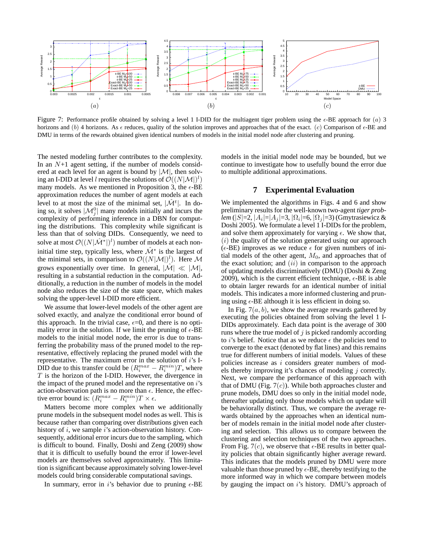

Figure 7: Performance profile obtained by solving a level 1 I-DID for the multiagent tiger problem using the  $\epsilon$ -BE approach for (a) 3 horizons and (b) 4 horizons. As  $\epsilon$  reduces, quality of the solution improves and approaches that of the exact. (c) Comparison of  $\epsilon$ -BE and DMU in terms of the rewards obtained given identical numbers of models in the initial model node after clustering and pruning.

The nested modeling further contributes to the complexity. In an  $N+1$  agent setting, if the number of models considered at each level for an agent is bound by  $|\mathcal{M}|$ , then solving an I-DID at level l requires the solutions of  $\mathcal{O}((N|\mathcal{M}|)^l)$ many models. As we mentioned in Proposition 3, the  $\epsilon$ -BE approximation reduces the number of agent models at each level to at most the size of the minimal set,  $|\hat{\mathcal{M}}^t|$ . In doing so, it solves  $|\mathcal{M}_j^0|$  many models initially and incurs the complexity of performing inference in a DBN for computing the distributions. This complexity while significant is less than that of solving DIDs. Consequently, we need to solve at most  $\mathcal{O}((N|\hat{\mathcal{M}}^*|)^l)$  number of models at each noninitial time step, typically less, where  $\hat{\mathcal{M}}^*$  is the largest of the minimal sets, in comparison to  $\mathcal{O}((N|\mathcal{M}|)^l)$ . Here M grows exponentially over time. In general,  $|\mathcal{M}| \ll |\mathcal{M}|$ , resulting in a substantial reduction in the computation. Additionally, a reduction in the number of models in the model node also reduces the size of the state space, which makes solving the upper-level I-DID more efficient.

We assume that lower-level models of the other agent are solved exactly, and analyze the conditional error bound of this approach. In the trivial case,  $\epsilon = 0$ , and there is no optimality error in the solution. If we limit the pruning of  $\epsilon$ -BE models to the initial model node, the error is due to transferring the probability mass of the pruned model to the representative, effectively replacing the pruned model with the representative. The maximum error in the solution of  $i$ 's I-DID due to this transfer could be  $(R_i^{max} - R_i^{min})T$ , where  $T$  is the horizon of the I-DID. However, the divergence in the impact of the pruned model and the representative on  $i$ 's action-observation path is no more than  $\epsilon$ . Hence, the effective error bound is:  $(R_i^{max} - R_i^{min})T \times \epsilon$ .

Matters become more complex when we additionally prune models in the subsequent model nodes as well. This is because rather than comparing over distributions given each history of  $i$ , we sample  $i$ 's action-observation history. Consequently, additional error incurs due to the sampling, which is difficult to bound. Finally, Doshi and Zeng (2009) show that it is difficult to usefully bound the error if lower-level models are themselves solved approximately. This limitation is significant because approximately solving lower-level models could bring considerable computational savings.

In summary, error in i's behavior due to pruning  $\epsilon$ -BE

models in the initial model node may be bounded, but we continue to investigate how to usefully bound the error due to multiple additional approximations.

### **7 Experimental Evaluation**

We implemented the algorithms in Figs. 4 and 6 and show preliminary results for the well-known two-agent *tiger prob-* ${\it lcm}\,(|S|\text{=2}, |A_i|\text{=}|A_j|\text{=3}, |\Omega_i|\text{=6}, |\Omega_j|\text{=3})$  (Gmytrasiewicz  $\&$ Doshi 2005). We formulate a level 1 I-DIDs for the problem, and solve them approximately for varying  $\epsilon$ . We show that,  $(i)$  the quality of the solution generated using our approach ( $\epsilon$ -BE) improves as we reduce  $\epsilon$  for given numbers of initial models of the other agent,  $M_0$ , and approaches that of the exact solution; and  $(ii)$  in comparison to the approach of updating models discriminatively (DMU) (Doshi & Zeng 2009), which is the current efficient technique,  $\epsilon$ -BE is able to obtain larger rewards for an identical number of initial models. This indicates a more informed clustering and pruning using  $\epsilon$ -BE although it is less efficient in doing so.

In Fig.  $7(a, b)$ , we show the average rewards gathered by executing the policies obtained from solving the level 1 I-DIDs approximately. Each data point is the average of 300 runs where the true model of  $j$  is picked randomly according to *i*'s belief. Notice that as we reduce  $\epsilon$  the policies tend to converge to the exact (denoted by flat lines) and this remains true for different numbers of initial models. Values of these policies increase as i considers greater numbers of models thereby improving it's chances of modeling  $i$  correctly. Next, we compare the performance of this approach with that of DMU (Fig.  $7(c)$ ). While both approaches cluster and prune models, DMU does so only in the initial model node, thereafter updating only those models which on update will be behaviorally distinct. Thus, we compare the average rewards obtained by the approaches when an identical number of models remain in the initial model node after clustering and selection. This allows us to compare between the clustering and selection techniques of the two approaches. From Fig. 7(c), we observe that  $\epsilon$ -BE results in better quality policies that obtain significantly higher average reward. This indicates that the models pruned by DMU were more valuable than those pruned by  $\epsilon$ -BE, thereby testifying to the more informed way in which we compare between models by gauging the impact on  $i$ 's history. DMU's approach of